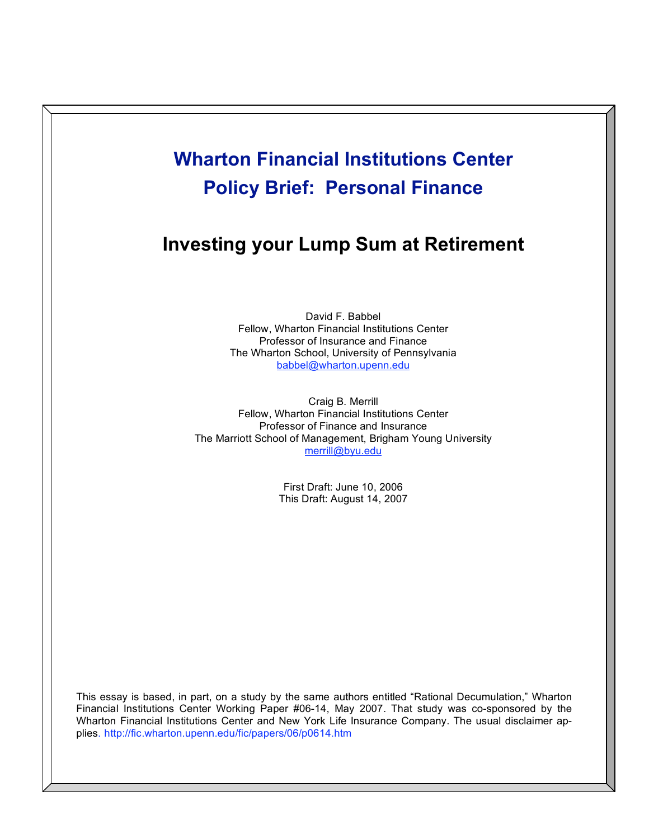# **Wharton Financial Institutions Center Policy Brief: Personal Finance**

## **Investing your Lump Sum at Retirement**

David F. Babbel Fellow, Wharton Financial Institutions Center Professor of Insurance and Finance The Wharton School, University of Pennsylvania babbel@wharton.upenn.edu

Craig B. Merrill Fellow, Wharton Financial Institutions Center Professor of Finance and Insurance The Marriott School of Management, Brigham Young University merrill@byu.edu

> First Draft: June 10, 2006 This Draft: August 14, 2007

This essay is based, in part, on a study by the same authors entitled "Rational Decumulation," Wharton Financial Institutions Center Working Paper #06-14, May 2007. That study was co-sponsored by the Wharton Financial Institutions Center and New York Life Insurance Company. The usual disclaimer applies. http://fic.wharton.upenn.edu/fic/papers/06/p0614.htm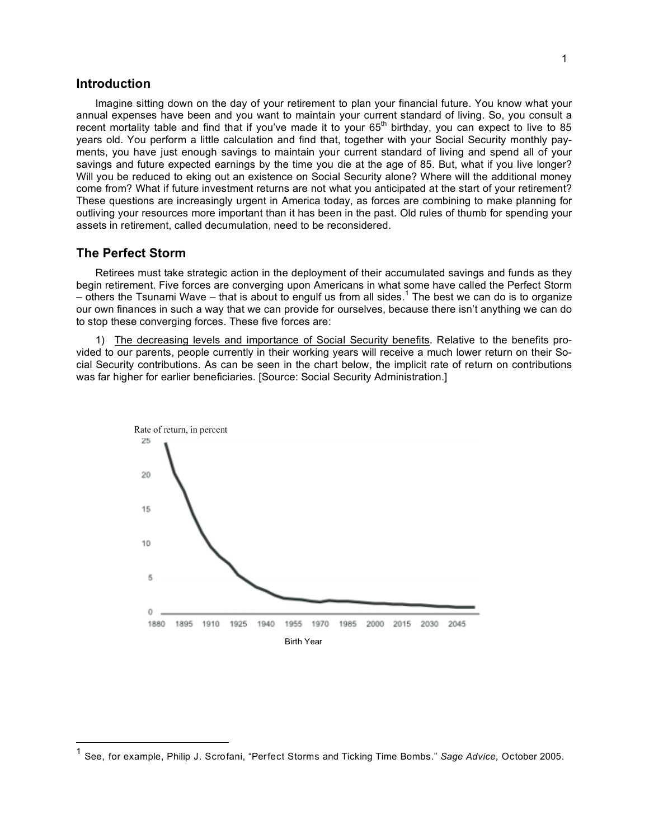## **Introduction**

Imagine sitting down on the day of your retirement to plan your financial future. You know what your annual expenses have been and you want to maintain your current standard of living. So, you consult a recent mortality table and find that if you've made it to your  $65<sup>th</sup>$  birthday, you can expect to live to 85 years old. You perform a little calculation and find that, together with your Social Security monthly payments, you have just enough savings to maintain your current standard of living and spend all of your savings and future expected earnings by the time you die at the age of 85. But, what if you live longer? Will you be reduced to eking out an existence on Social Security alone? Where will the additional money come from? What if future investment returns are not what you anticipated at the start of your retirement? These questions are increasingly urgent in America today, as forces are combining to make planning for outliving your resources more important than it has been in the past. Old rules of thumb for spending your assets in retirement, called decumulation, need to be reconsidered.

## **The Perfect Storm**

Retirees must take strategic action in the deployment of their accumulated savings and funds as they begin retirement. Five forces are converging upon Americans in what some have called the Perfect Storm – others the Tsunami Wave – that is about to engulf us from all sides. <sup>1</sup> The best we can do is to organize our own finances in such a way that we can provide for ourselves, because there isn't anything we can do to stop these converging forces. These five forces are:

1) The decreasing levels and importance of Social Security benefits. Relative to the benefits provided to our parents, people currently in their working years will receive a much lower return on their Social Security contributions. As can be seen in the chart below, the implicit rate of return on contributions was far higher for earlier beneficiaries. [Source: Social Security Administration.]



 <sup>1</sup> See, for example, Philip J. Scrofani, "Perfect Storms and Ticking Time Bombs." *Sage Advice,* October 2005.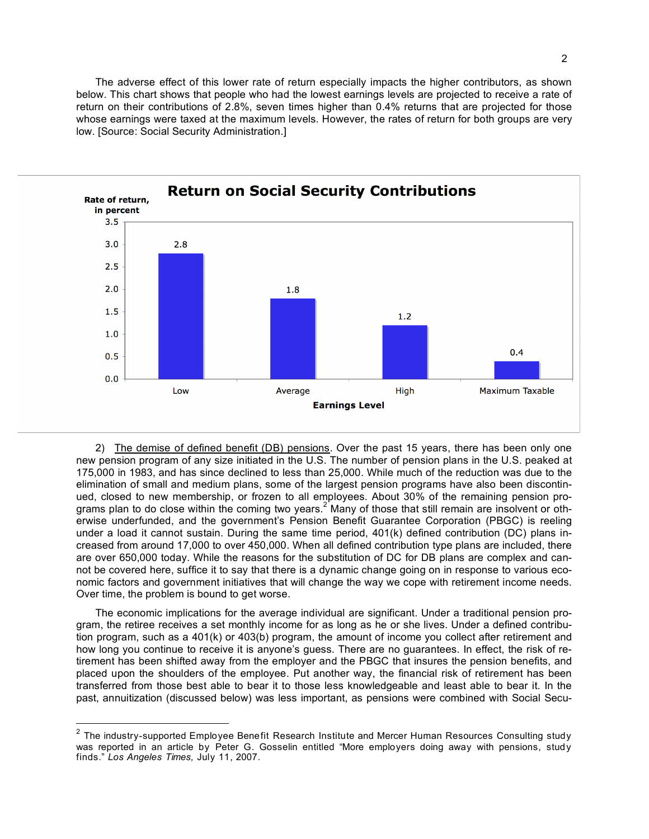The adverse effect of this lower rate of return especially impacts the higher contributors, as shown below. This chart shows that people who had the lowest earnings levels are projected to receive a rate of return on their contributions of 2.8%, seven times higher than 0.4% returns that are projected for those whose earnings were taxed at the maximum levels. However, the rates of return for both groups are very low. [Source: Social Security Administration.]



2) The demise of defined benefit (DB) pensions. Over the past 15 years, there has been only one new pension program of any size initiated in the U.S. The number of pension plans in the U.S. peaked at 175,000 in 1983, and has since declined to less than 25,000. While much of the reduction was due to the elimination of small and medium plans, some of the largest pension programs have also been discontinued, closed to new membership, or frozen to all employees. About 30% of the remaining pension programs plan to do close within the coming two years.<sup>2</sup> Many of those that still remain are insolvent or otherwise underfunded, and the government's Pension Benefit Guarantee Corporation (PBGC) is reeling under a load it cannot sustain. During the same time period, 401(k) defined contribution (DC) plans increased from around 17,000 to over 450,000. When all defined contribution type plans are included, there are over 650,000 today. While the reasons for the substitution of DC for DB plans are complex and cannot be covered here, suffice it to say that there is a dynamic change going on in response to various economic factors and government initiatives that will change the way we cope with retirement income needs. Over time, the problem is bound to get worse.

The economic implications for the average individual are significant. Under a traditional pension program, the retiree receives a set monthly income for as long as he or she lives. Under a defined contribution program, such as a 401(k) or 403(b) program, the amount of income you collect after retirement and how long you continue to receive it is anyone's guess. There are no guarantees. In effect, the risk of retirement has been shifted away from the employer and the PBGC that insures the pension benefits, and placed upon the shoulders of the employee. Put another way, the financial risk of retirement has been transferred from those best able to bear it to those less knowledgeable and least able to bear it. In the past, annuitization (discussed below) was less important, as pensions were combined with Social Secu-

 $2$  The industry-supported Employee Benefit Research Institute and Mercer Human Resources Consulting study was reported in an article by Peter G. Gosselin entitled "More employers doing away with pensions, study finds." *Los Angeles Times,* July 11, 2007.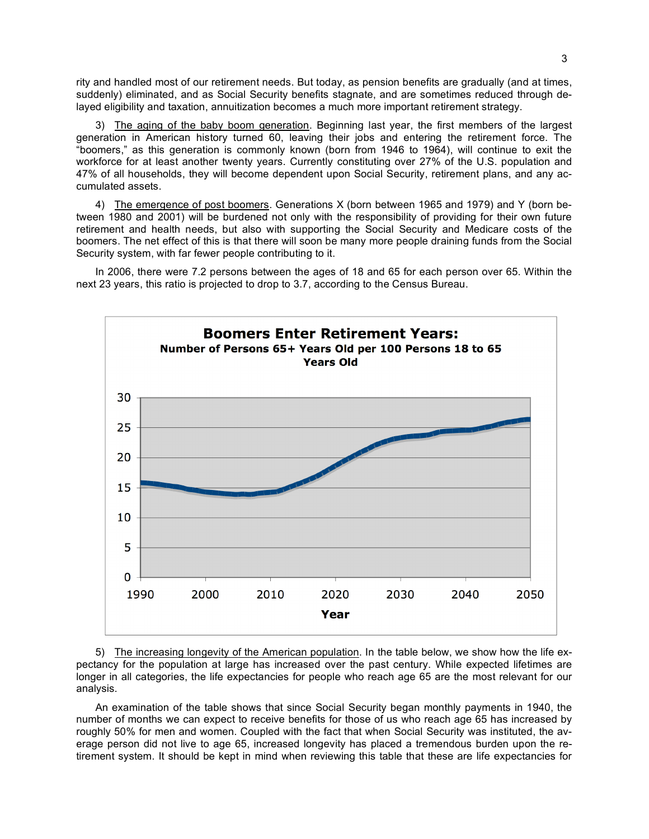rity and handled most of our retirement needs. But today, as pension benefits are gradually (and at times, suddenly) eliminated, and as Social Security benefits stagnate, and are sometimes reduced through delayed eligibility and taxation, annuitization becomes a much more important retirement strategy.

3) The aging of the baby boom generation. Beginning last year, the first members of the largest generation in American history turned 60, leaving their jobs and entering the retirement force. The "boomers," as this generation is commonly known (born from 1946 to 1964), will continue to exit the workforce for at least another twenty years. Currently constituting over 27% of the U.S. population and 47% of all households, they will become dependent upon Social Security, retirement plans, and any accumulated assets.

4) The emergence of post boomers. Generations X (born between 1965 and 1979) and Y (born between 1980 and 2001) will be burdened not only with the responsibility of providing for their own future retirement and health needs, but also with supporting the Social Security and Medicare costs of the boomers. The net effect of this is that there will soon be many more people draining funds from the Social Security system, with far fewer people contributing to it.

In 2006, there were 7.2 persons between the ages of 18 and 65 for each person over 65. Within the next 23 years, this ratio is projected to drop to 3.7, according to the Census Bureau.



5) The increasing longevity of the American population. In the table below, we show how the life expectancy for the population at large has increased over the past century. While expected lifetimes are longer in all categories, the life expectancies for people who reach age 65 are the most relevant for our analysis.

An examination of the table shows that since Social Security began monthly payments in 1940, the number of months we can expect to receive benefits for those of us who reach age 65 has increased by roughly 50% for men and women. Coupled with the fact that when Social Security was instituted, the average person did not live to age 65, increased longevity has placed a tremendous burden upon the retirement system. It should be kept in mind when reviewing this table that these are life expectancies for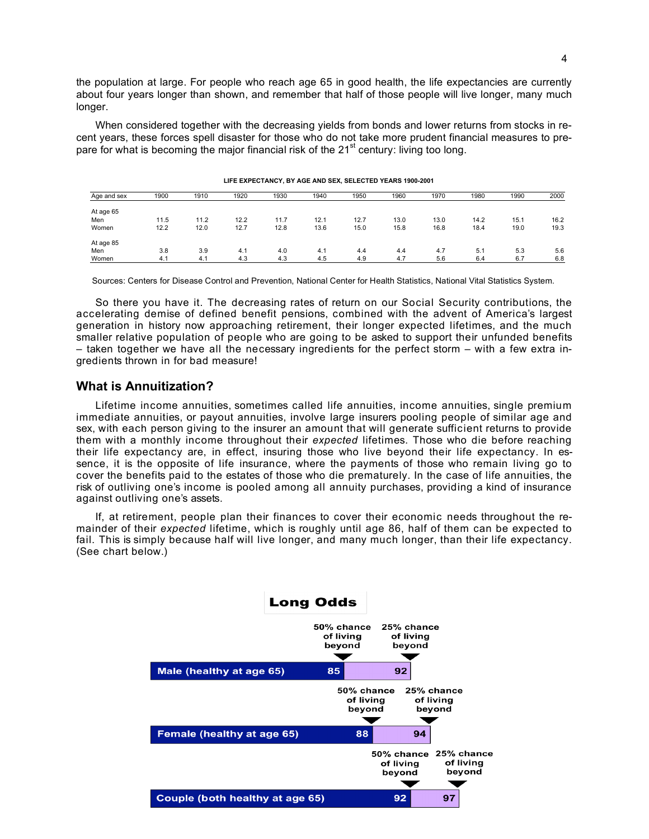the population at large. For people who reach age 65 in good health, the life expectancies are currently about four years longer than shown, and remember that half of those people will live longer, many much longer.

When considered together with the decreasing yields from bonds and lower returns from stocks in recent years, these forces spell disaster for those who do not take more prudent financial measures to prepare for what is becoming the major financial risk of the 21<sup>st</sup> century: living too long.

| Age and sex | 1900 | 1910 | 1920 | 1930 | 1940 | 1950 | 1960 | 1970 | 1980 | 1990 | 2000 |
|-------------|------|------|------|------|------|------|------|------|------|------|------|
| At age 65   |      |      |      |      |      |      |      |      |      |      |      |
| Men         | 11.5 | 11.2 | 12.2 | 11.7 | 12.1 | 12.7 | 13.0 | 13.0 | 14.2 | 15.1 | 16.2 |
| Women       | 12.2 | 12.0 | 12.7 | 12.8 | 13.6 | 15.0 | 15.8 | 16.8 | 18.4 | 19.0 | 19.3 |
| At age 85   |      |      |      |      |      |      |      |      |      |      |      |
| Men         | 3.8  | 3.9  | 4.1  | 4.0  | 4.1  | 4.4  | 4.4  | 4.7  | 5.1  | 5.3  | 5.6  |
| Women       | 4.1  | 4.1  | 4.3  | 4.3  | 4.5  | 4.9  | 4.7  | 5.6  | 6.4  | 6.7  | 6.8  |

**LIFE EXPECTANCY, BY AGE AND SEX, SELECTED YEARS 1900-2001**

Sources: Centers for Disease Control and Prevention, National Center for Health Statistics, National Vital Statistics System.

So there you have it. The decreasing rates of return on our Social Security contributions, the accelerating demise of defined benefit pensions, combined with the advent of America's largest generation in history now approaching retirement, their longer expected lifetimes, and the much smaller relative population of people who are going to be asked to support their unfunded benefits – taken together we have all the necessary ingredients for the perfect storm – with a few extra ingredients thrown in for bad measure!

## **What is Annuitization?**

Lifetime income annuities, sometimes called life annuities, income annuities, single premium immediate annuities, or payout annuities, involve large insurers pooling people of similar age and sex, with each person giving to the insurer an amount that will generate sufficient returns to provide them with a monthly income throughout their *expected* lifetimes. Those who die before reaching their life expectancy are, in effect, insuring those who live beyond their life expectancy. In essence, it is the opposite of life insurance, where the payments of those who remain living go to cover the benefits paid to the estates of those who die prematurely. In the case of life annuities, the risk of outliving one's income is pooled among all annuity purchases, providing a kind of insurance against outliving one's assets.

If, at retirement, people plan their finances to cover their economic needs throughout the remainder of their *expected* lifetime, which is roughly until age 86, half of them can be expected to fail. This is simply because half will live longer, and many much longer, than their life expectancy. (See chart below.)

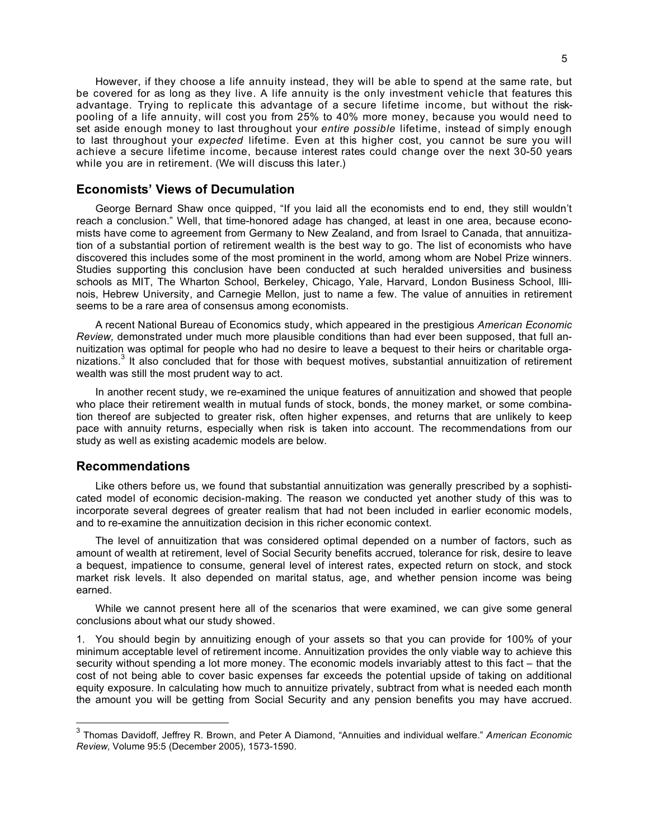However, if they choose a life annuity instead, they will be able to spend at the same rate, but be covered for as long as they live. A life annuity is the only investment vehicle that features this advantage. Trying to replicate this advantage of a secure lifetime income, but without the riskpooling of a life annuity, will cost you from 25% to 40% more money, because you would need to set aside enough money to last throughout your *entire possible* lifetime, instead of simply enough to last throughout your *expected* lifetime. Even at this higher cost, you cannot be sure you will achieve a secure lifetime income, because interest rates could change over the next 30-50 years while you are in retirement. (We will discuss this later.)

## **Economists' Views of Decumulation**

George Bernard Shaw once quipped, "If you laid all the economists end to end, they still wouldn't reach a conclusion." Well, that time-honored adage has changed, at least in one area, because economists have come to agreement from Germany to New Zealand, and from Israel to Canada, that annuitization of a substantial portion of retirement wealth is the best way to go. The list of economists who have discovered this includes some of the most prominent in the world, among whom are Nobel Prize winners. Studies supporting this conclusion have been conducted at such heralded universities and business schools as MIT, The Wharton School, Berkeley, Chicago, Yale, Harvard, London Business School, Illinois, Hebrew University, and Carnegie Mellon, just to name a few. The value of annuities in retirement seems to be a rare area of consensus among economists.

A recent National Bureau of Economics study, which appeared in the prestigious *American Economic Review,* demonstrated under much more plausible conditions than had ever been supposed, that full annuitization was optimal for people who had no desire to leave a bequest to their heirs or charitable organizations.<sup>3</sup> It also concluded that for those with bequest motives, substantial annuitization of retirement wealth was still the most prudent way to act.

In another recent study, we re-examined the unique features of annuitization and showed that people who place their retirement wealth in mutual funds of stock, bonds, the money market, or some combination thereof are subjected to greater risk, often higher expenses, and returns that are unlikely to keep pace with annuity returns, especially when risk is taken into account. The recommendations from our study as well as existing academic models are below.

#### **Recommendations**

Like others before us, we found that substantial annuitization was generally prescribed by a sophisticated model of economic decision-making. The reason we conducted yet another study of this was to incorporate several degrees of greater realism that had not been included in earlier economic models, and to re-examine the annuitization decision in this richer economic context.

The level of annuitization that was considered optimal depended on a number of factors, such as amount of wealth at retirement, level of Social Security benefits accrued, tolerance for risk, desire to leave a bequest, impatience to consume, general level of interest rates, expected return on stock, and stock market risk levels. It also depended on marital status, age, and whether pension income was being earned.

While we cannot present here all of the scenarios that were examined, we can give some general conclusions about what our study showed.

1. You should begin by annuitizing enough of your assets so that you can provide for 100% of your minimum acceptable level of retirement income. Annuitization provides the only viable way to achieve this security without spending a lot more money. The economic models invariably attest to this fact – that the cost of not being able to cover basic expenses far exceeds the potential upside of taking on additional equity exposure. In calculating how much to annuitize privately, subtract from what is needed each month the amount you will be getting from Social Security and any pension benefits you may have accrued.

 <sup>3</sup> Thomas Davidoff, Jeffrey R. Brown, and Peter <sup>A</sup> Diamond, "Annuities and individual welfare." *American Economic Review,* Volume 95:5 (December 2005), 1573-1590.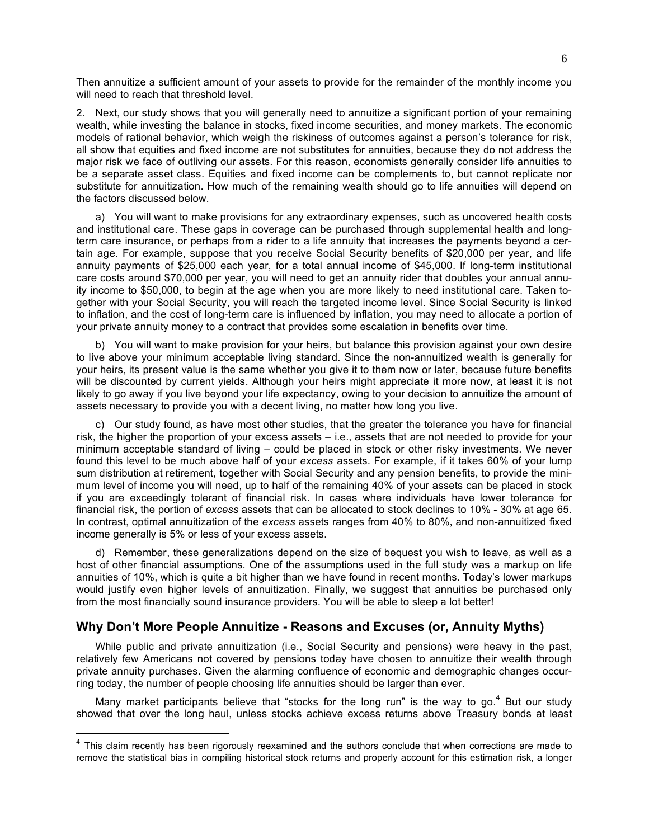Then annuitize a sufficient amount of your assets to provide for the remainder of the monthly income you will need to reach that threshold level.

2. Next, our study shows that you will generally need to annuitize a significant portion of your remaining wealth, while investing the balance in stocks, fixed income securities, and money markets. The economic models of rational behavior, which weigh the riskiness of outcomes against a person's tolerance for risk, all show that equities and fixed income are not substitutes for annuities, because they do not address the major risk we face of outliving our assets. For this reason, economists generally consider life annuities to be a separate asset class. Equities and fixed income can be complements to, but cannot replicate nor substitute for annuitization. How much of the remaining wealth should go to life annuities will depend on the factors discussed below.

a) You will want to make provisions for any extraordinary expenses, such as uncovered health costs and institutional care. These gaps in coverage can be purchased through supplemental health and longterm care insurance, or perhaps from a rider to a life annuity that increases the payments beyond a certain age. For example, suppose that you receive Social Security benefits of \$20,000 per year, and life annuity payments of \$25,000 each year, for a total annual income of \$45,000. If long-term institutional care costs around \$70,000 per year, you will need to get an annuity rider that doubles your annual annuity income to \$50,000, to begin at the age when you are more likely to need institutional care. Taken together with your Social Security, you will reach the targeted income level. Since Social Security is linked to inflation, and the cost of long-term care is influenced by inflation, you may need to allocate a portion of your private annuity money to a contract that provides some escalation in benefits over time.

b) You will want to make provision for your heirs, but balance this provision against your own desire to live above your minimum acceptable living standard. Since the non-annuitized wealth is generally for your heirs, its present value is the same whether you give it to them now or later, because future benefits will be discounted by current yields. Although your heirs might appreciate it more now, at least it is not likely to go away if you live beyond your life expectancy, owing to your decision to annuitize the amount of assets necessary to provide you with a decent living, no matter how long you live.

c) Our study found, as have most other studies, that the greater the tolerance you have for financial risk, the higher the proportion of your excess assets – i.e., assets that are not needed to provide for your minimum acceptable standard of living – could be placed in stock or other risky investments. We never found this level to be much above half of your *excess* assets. For example, if it takes 60% of your lump sum distribution at retirement, together with Social Security and any pension benefits, to provide the minimum level of income you will need, up to half of the remaining 40% of your assets can be placed in stock if you are exceedingly tolerant of financial risk. In cases where individuals have lower tolerance for financial risk, the portion of *excess* assets that can be allocated to stock declines to 10% - 30% at age 65. In contrast, optimal annuitization of the *excess* assets ranges from 40% to 80%, and non-annuitized fixed income generally is 5% or less of your excess assets.

d) Remember, these generalizations depend on the size of bequest you wish to leave, as well as a host of other financial assumptions. One of the assumptions used in the full study was a markup on life annuities of 10%, which is quite a bit higher than we have found in recent months. Today's lower markups would justify even higher levels of annuitization. Finally, we suggest that annuities be purchased only from the most financially sound insurance providers. You will be able to sleep a lot better!

## **Why Don't More People Annuitize - Reasons and Excuses (or, Annuity Myths)**

While public and private annuitization (i.e., Social Security and pensions) were heavy in the past, relatively few Americans not covered by pensions today have chosen to annuitize their wealth through private annuity purchases. Given the alarming confluence of economic and demographic changes occurring today, the number of people choosing life annuities should be larger than ever.

Many market participants believe that "stocks for the long run" is the way to go.<sup>4</sup> But our study showed that over the long haul, unless stocks achieve excess returns above Treasury bonds at least

<sup>&</sup>lt;sup>4</sup> This claim recently has been rigorously reexamined and the authors conclude that when corrections are made to remove the statistical bias in compiling historical stock returns and properly account for this estimation risk, a longer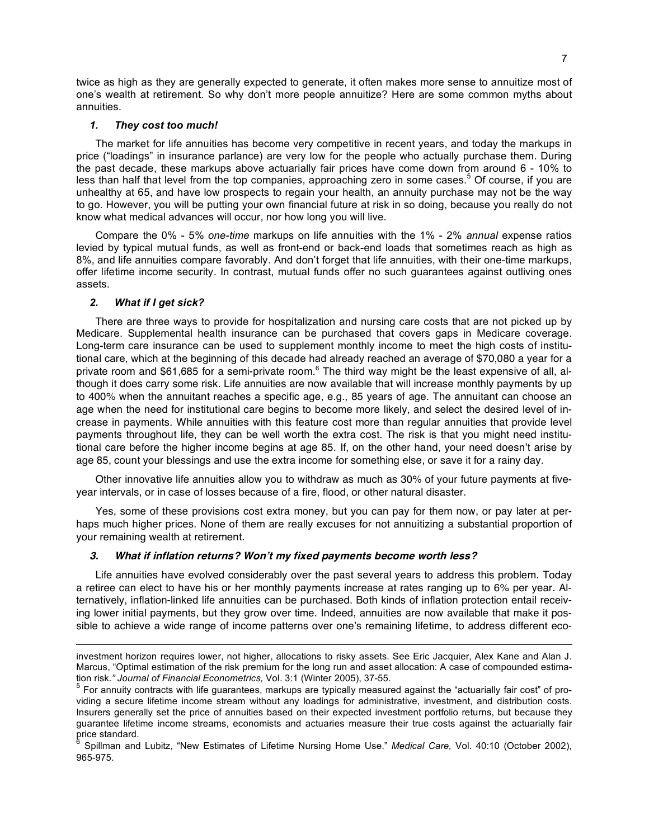twice as high as they are generally expected to generate, it often makes more sense to annuitize most of one's wealth at retirement. So why don't more people annuitize? Here are some common myths about annuities.

#### *1. They cost too much!*

The market for life annuities has become very competitive in recent years, and today the markups in price ("loadings" in insurance parlance) are very low for the people who actually purchase them. During the past decade, these markups above actuarially fair prices have come down from around 6 - 10% to less than half that level from the top companies, approaching zero in some cases.<sup>5</sup> Of course, if you are unhealthy at 65, and have low prospects to regain your health, an annuity purchase may not be the way to go. However, you will be putting your own financial future at risk in so doing, because you really do not know what medical advances will occur, nor how long you will live.

Compare the 0% - 5% *one-time* markups on life annuities with the 1% - 2% *annual* expense ratios levied by typical mutual funds, as well as front-end or back-end loads that sometimes reach as high as 8%, and life annuities compare favorably. And don't forget that life annuities, with their one-time markups, offer lifetime income security. In contrast, mutual funds offer no such guarantees against outliving ones assets.

## *2. What if I get sick?*

There are three ways to provide for hospitalization and nursing care costs that are not picked up by Medicare. Supplemental health insurance can be purchased that covers gaps in Medicare coverage. Long-term care insurance can be used to supplement monthly income to meet the high costs of institutional care, which at the beginning of this decade had already reached an average of \$70,080 a year for a private room and \$61,685 for a semi-private room.<sup>6</sup> The third way might be the least expensive of all, although it does carry some risk. Life annuities are now available that will increase monthly payments by up to 400% when the annuitant reaches a specific age, e.g., 85 years of age. The annuitant can choose an age when the need for institutional care begins to become more likely, and select the desired level of increase in payments. While annuities with this feature cost more than regular annuities that provide level payments throughout life, they can be well worth the extra cost. The risk is that you might need institutional care before the higher income begins at age 85. If, on the other hand, your need doesn't arise by age 85, count your blessings and use the extra income for something else, or save it for a rainy day.

Other innovative life annuities allow you to withdraw as much as 30% of your future payments at fiveyear intervals, or in case of losses because of a fire, flood, or other natural disaster.

Yes, some of these provisions cost extra money, but you can pay for them now, or pay later at perhaps much higher prices. None of them are really excuses for not annuitizing a substantial proportion of your remaining wealth at retirement.

## **3. What if inflation returns? Won't my fixed payments become worth less?**

Life annuities have evolved considerably over the past several years to address this problem. Today a retiree can elect to have his or her monthly payments increase at rates ranging up to 6% per year. Alternatively, inflation-linked life annuities can be purchased. Both kinds of inflation protection entail receiving lower initial payments, but they grow over time. Indeed, annuities are now available that make it possible to achieve a wide range of income patterns over one's remaining lifetime, to address different eco-

investment horizon requires lower, not higher, allocations to risky assets. See Eric Jacquier, Alex Kane and Alan J. Marcus, "Optimal estimation of the risk premium for the long run and asset allocation: A case of compounded estima-<br>tion risk." Journal of Financial Econometrics, Vol. 3:1 (Winter 2005), 37-55.

 $5$  For annuity contracts with life guarantees, markups are typically measured against the "actuarially fair cost" of providing a secure lifetime income stream without any loadings for administrative, investment, and distribution costs. Insurers generally set the price of annuities based on their expected investment portfolio returns, but because they guarantee lifetime income streams, economists and actuaries measure their true costs against the actuarially fair<br>price standard.

Spillman and Lubitz, "New Estimates of Lifetime Nursing Home Use." *Medical Care*, Vol. 40:10 (October 2002), 965-975.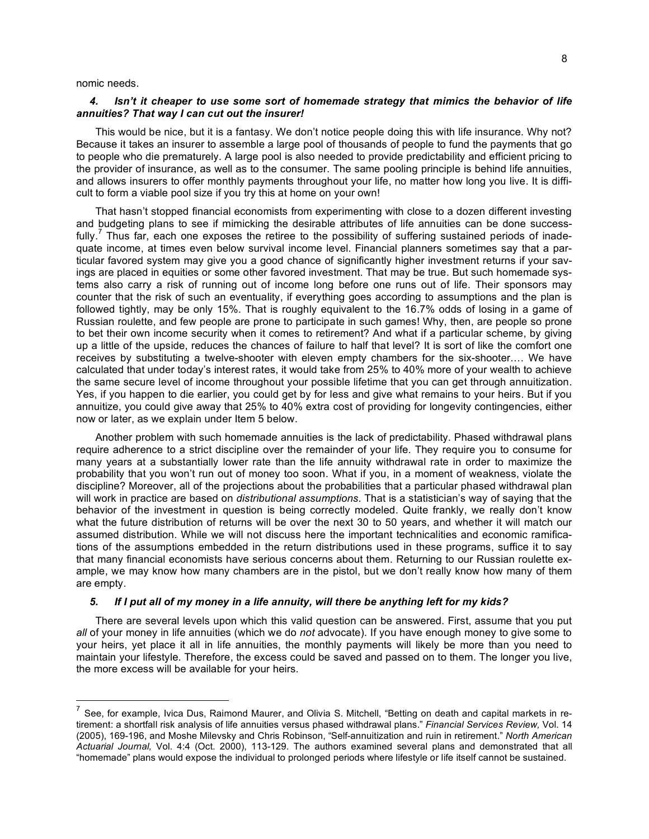nomic needs.

## *4. Isn't it cheaper to use some sort of homemade strategy that mimics the behavior of life annuities? That way I can cut out the insurer!*

This would be nice, but it is a fantasy. We don't notice people doing this with life insurance. Why not? Because it takes an insurer to assemble a large pool of thousands of people to fund the payments that go to people who die prematurely. A large pool is also needed to provide predictability and efficient pricing to the provider of insurance, as well as to the consumer. The same pooling principle is behind life annuities, and allows insurers to offer monthly payments throughout your life, no matter how long you live. It is difficult to form a viable pool size if you try this at home on your own!

That hasn't stopped financial economists from experimenting with close to a dozen different investing and budgeting plans to see if mimicking the desirable attributes of life annuities can be done successfully.<sup>7</sup> Thus far, each one exposes the retiree to the possibility of suffering sustained periods of inadequate income, at times even below survival income level. Financial planners sometimes say that a particular favored system may give you a good chance of significantly higher investment returns if your savings are placed in equities or some other favored investment. That may be true. But such homemade systems also carry a risk of running out of income long before one runs out of life. Their sponsors may counter that the risk of such an eventuality, if everything goes according to assumptions and the plan is followed tightly, may be only 15%. That is roughly equivalent to the 16.7% odds of losing in a game of Russian roulette, and few people are prone to participate in such games! Why, then, are people so prone to bet their own income security when it comes to retirement? And what if a particular scheme, by giving up a little of the upside, reduces the chances of failure to half that level? It is sort of like the comfort one receives by substituting a twelve-shooter with eleven empty chambers for the six-shooter.… We have calculated that under today's interest rates, it would take from 25% to 40% more of your wealth to achieve the same secure level of income throughout your possible lifetime that you can get through annuitization. Yes, if you happen to die earlier, you could get by for less and give what remains to your heirs. But if you annuitize, you could give away that 25% to 40% extra cost of providing for longevity contingencies, either now or later, as we explain under Item 5 below.

Another problem with such homemade annuities is the lack of predictability. Phased withdrawal plans require adherence to a strict discipline over the remainder of your life. They require you to consume for many years at a substantially lower rate than the life annuity withdrawal rate in order to maximize the probability that you won't run out of money too soon. What if you, in a moment of weakness, violate the discipline? Moreover, all of the projections about the probabilities that a particular phased withdrawal plan will work in practice are based on *distributional assumptions.* That is a statistician's way of saying that the behavior of the investment in question is being correctly modeled. Quite frankly, we really don't know what the future distribution of returns will be over the next 30 to 50 years, and whether it will match our assumed distribution. While we will not discuss here the important technicalities and economic ramifications of the assumptions embedded in the return distributions used in these programs, suffice it to say that many financial economists have serious concerns about them. Returning to our Russian roulette example, we may know how many chambers are in the pistol, but we don't really know how many of them are empty.

#### 5. If I put all of my money in a life annuity, will there be anything left for my kids?

There are several levels upon which this valid question can be answered. First, assume that you put *all* of your money in life annuities (which we do *not* advocate). If you have enough money to give some to your heirs, yet place it all in life annuities, the monthly payments will likely be more than you need to maintain your lifestyle. Therefore, the excess could be saved and passed on to them. The longer you live, the more excess will be available for your heirs.

 $<sup>7</sup>$  See, for example, Ivica Dus, Raimond Maurer, and Olivia S. Mitchell, "Betting on death and capital markets in re-</sup> tirement: a shortfall risk analysis of life annuities versus phased withdrawal plans." *Financial Services Review,* Vol. 14 (2005), 169-196, and Moshe Milevsky and Chris Robinson, "Self-annuitization and ruin in retirement." *North American Actuarial Journal,* Vol. 4:4 (Oct. 2000), 113-129. The authors examined several plans and demonstrated that all "homemade" plans would expose the individual to prolonged periods where lifestyle or life itself cannot be sustained.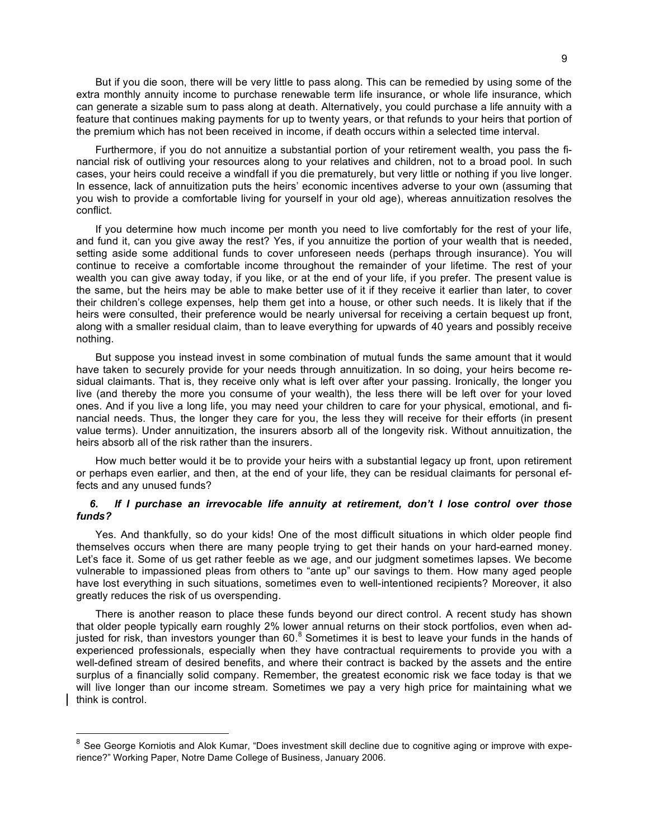But if you die soon, there will be very little to pass along. This can be remedied by using some of the extra monthly annuity income to purchase renewable term life insurance, or whole life insurance, which can generate a sizable sum to pass along at death. Alternatively, you could purchase a life annuity with a feature that continues making payments for up to twenty years, or that refunds to your heirs that portion of the premium which has not been received in income, if death occurs within a selected time interval.

Furthermore, if you do not annuitize a substantial portion of your retirement wealth, you pass the financial risk of outliving your resources along to your relatives and children, not to a broad pool. In such cases, your heirs could receive a windfall if you die prematurely, but very little or nothing if you live longer. In essence, lack of annuitization puts the heirs' economic incentives adverse to your own (assuming that you wish to provide a comfortable living for yourself in your old age), whereas annuitization resolves the conflict.

If you determine how much income per month you need to live comfortably for the rest of your life, and fund it, can you give away the rest? Yes, if you annuitize the portion of your wealth that is needed, setting aside some additional funds to cover unforeseen needs (perhaps through insurance). You will continue to receive a comfortable income throughout the remainder of your lifetime. The rest of your wealth you can give away today, if you like, or at the end of your life, if you prefer. The present value is the same, but the heirs may be able to make better use of it if they receive it earlier than later, to cover their children's college expenses, help them get into a house, or other such needs. It is likely that if the heirs were consulted, their preference would be nearly universal for receiving a certain bequest up front, along with a smaller residual claim, than to leave everything for upwards of 40 years and possibly receive nothing.

But suppose you instead invest in some combination of mutual funds the same amount that it would have taken to securely provide for your needs through annuitization. In so doing, your heirs become residual claimants. That is, they receive only what is left over after your passing. Ironically, the longer you live (and thereby the more you consume of your wealth), the less there will be left over for your loved ones. And if you live a long life, you may need your children to care for your physical, emotional, and financial needs. Thus, the longer they care for you, the less they will receive for their efforts (in present value terms). Under annuitization, the insurers absorb all of the longevity risk. Without annuitization, the heirs absorb all of the risk rather than the insurers.

How much better would it be to provide your heirs with a substantial legacy up front, upon retirement or perhaps even earlier, and then, at the end of your life, they can be residual claimants for personal effects and any unused funds?

#### *6. If I purchase an irrevocable life annuity at retirement, don't I lose control over those funds?*

Yes. And thankfully, so do your kids! One of the most difficult situations in which older people find themselves occurs when there are many people trying to get their hands on your hard-earned money. Let's face it. Some of us get rather feeble as we age, and our judgment sometimes lapses. We become vulnerable to impassioned pleas from others to "ante up" our savings to them. How many aged people have lost everything in such situations, sometimes even to well-intentioned recipients? Moreover, it also greatly reduces the risk of us overspending.

There is another reason to place these funds beyond our direct control. A recent study has shown that older people typically earn roughly 2% lower annual returns on their stock portfolios, even when adjusted for risk, than investors younger than 60.<sup>8</sup> Sometimes it is best to leave your funds in the hands of experienced professionals, especially when they have contractual requirements to provide you with a well-defined stream of desired benefits, and where their contract is backed by the assets and the entire surplus of a financially solid company. Remember, the greatest economic risk we face today is that we will live longer than our income stream. Sometimes we pay a very high price for maintaining what we think is control.

 $8$  See George Korniotis and Alok Kumar, "Does investment skill decline due to cognitive aging or improve with experience?" Working Paper, Notre Dame College of Business, January 2006.